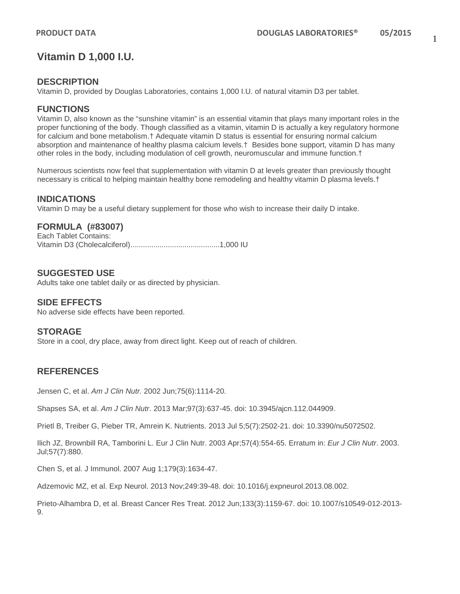## **Vitamin D 1,000 I.U.**

## **DESCRIPTION**

Vitamin D, provided by Douglas Laboratories, contains 1,000 I.U. of natural vitamin D3 per tablet.

## **FUNCTIONS**

Vitamin D, also known as the "sunshine vitamin" is an essential vitamin that plays many important roles in the proper functioning of the body. Though classified as a vitamin, vitamin D is actually a key regulatory hormone for calcium and bone metabolism.† Adequate vitamin D status is essential for ensuring normal calcium absorption and maintenance of healthy plasma calcium levels.† Besides bone support, vitamin D has many other roles in the body, including modulation of cell growth, neuromuscular and immune function.†

Numerous scientists now feel that supplementation with vitamin D at levels greater than previously thought necessary is critical to helping maintain healthy bone remodeling and healthy vitamin D plasma levels.†

### **INDICATIONS**

Vitamin D may be a useful dietary supplement for those who wish to increase their daily D intake.

## **FORMULA (#83007)**

Each Tablet Contains: Vitamin D3 (Cholecalciferol)...........................................1,000 IU

#### **SUGGESTED USE**

Adults take one tablet daily or as directed by physician.

#### **SIDE EFFECTS**

No adverse side effects have been reported.

#### **STORAGE**

Store in a cool, dry place, away from direct light. Keep out of reach of children.

## **REFERENCES**

Jensen C, et al. *Am J Clin Nutr.* 2002 Jun;75(6):1114-20.

Shapses SA, et al. *Am J Clin Nutr*. 2013 Mar;97(3):637-45. doi: 10.3945/ajcn.112.044909.

Prietl B, Treiber G, Pieber TR, Amrein K. Nutrients. 2013 Jul 5;5(7):2502-21. doi: 10.3390/nu5072502.

Ilich JZ, Brownbill RA, Tamborini L. Eur J Clin Nutr. 2003 Apr;57(4):554-65. Erratum in: *Eur J Clin Nutr*. 2003. Jul;57(7):880.

Chen S, et al. J Immunol. 2007 Aug 1;179(3):1634-47.

Adzemovic MZ, et al. Exp Neurol. 2013 Nov;249:39-48. doi: 10.1016/j.expneurol.2013.08.002.

Prieto-Alhambra D, et al. Breast Cancer Res Treat. 2012 Jun;133(3):1159-67. doi: 10.1007/s10549-012-2013- 9.